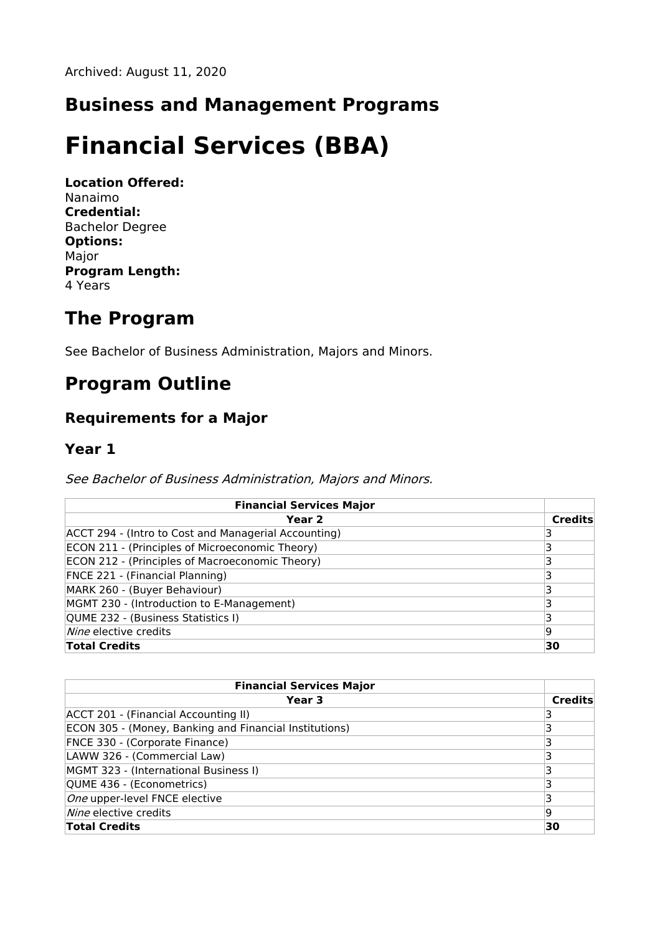## **Business and Management Programs**

# **Financial Services (BBA)**

**Location Offered:** Nanaimo **Credential:** Bachelor Degree **Options:** Major **Program Length:** 4 Years

## **The Program**

See Bachelor of Business Administration, Majors and Minors.

# **Program Outline**

### **Requirements for a Major**

#### **Year 1**

See Bachelor of Business Administration, Majors and Minors.

| <b>Financial Services Major</b>                      |         |
|------------------------------------------------------|---------|
| Year 2                                               | Credits |
| ACCT 294 - (Intro to Cost and Managerial Accounting) |         |
| ECON 211 - (Principles of Microeconomic Theory)      |         |
| ECON 212 - (Principles of Macroeconomic Theory)      |         |
| FNCE 221 - (Financial Planning)                      |         |
| MARK 260 - (Buyer Behaviour)                         |         |
| MGMT 230 - (Introduction to E-Management)            |         |
| QUME 232 - (Business Statistics I)                   |         |
| Nine elective credits                                | 19      |
| <b>Total Credits</b>                                 | 30      |

| <b>Financial Services Major</b>                        |                |
|--------------------------------------------------------|----------------|
| Year 3                                                 | <b>Credits</b> |
| ACCT 201 - (Financial Accounting II)                   |                |
| ECON 305 - (Money, Banking and Financial Institutions) |                |
| FNCE 330 - (Corporate Finance)                         |                |
| LAWW 326 - (Commercial Law)                            |                |
| MGMT 323 - (International Business I)                  |                |
| QUME 436 - (Econometrics)                              |                |
| One upper-level FNCE elective                          |                |
| <i>Nine</i> elective credits                           | 19             |
| <b>Total Credits</b>                                   | 30             |